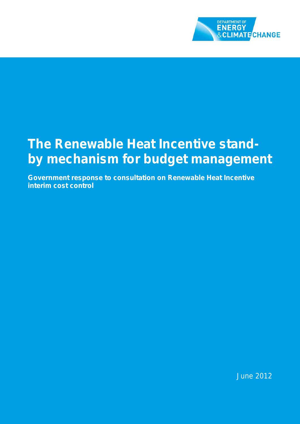

# **The Renewable Heat Incentive standby mechanism for budget management**

**Government response to consultation on Renewable Heat Incentive interim cost control**

June 2012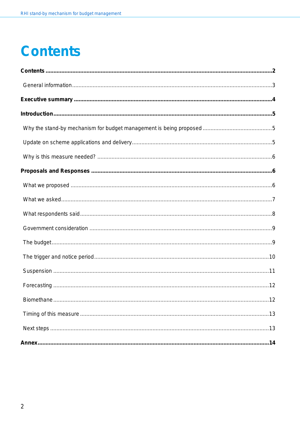# <span id="page-1-0"></span>**Contents**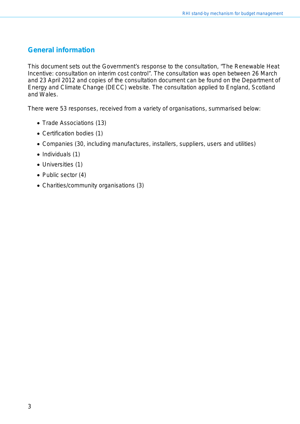## <span id="page-2-0"></span>**General information**

This document sets out the Government's response to the consultation, "The Renewable Heat Incentive: consultation on interim cost control". The consultation was open between 26 March and 23 April 2012 and copies of the consultation document can be found on the Department of Energy and Climate Change (DECC) website. The consultation applied to England, Scotland and Wales.

There were 53 responses, received from a variety of organisations, summarised below:

- Trade Associations (13)
- Certification bodies (1)
- Companies (30, including manufactures, installers, suppliers, users and utilities)
- Individuals (1)
- Universities (1)
- Public sector (4)
- Charities/community organisations (3)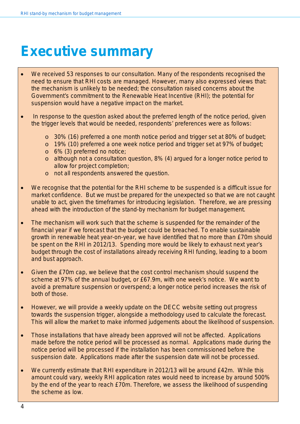# <span id="page-3-0"></span>**Executive summary**

- We received 53 responses to our consultation. Many of the respondents recognised the need to ensure that RHI costs are managed. However, many also expressed views that: the mechanism is unlikely to be needed; the consultation raised concerns about the Government's commitment to the Renewable Heat Incentive (RHI); the potential for suspension would have a negative impact on the market.
- In response to the question asked about the preferred length of the notice period, given the trigger levels that would be needed, respondents' preferences were as follows:
	- o 30% (16) preferred a one month notice period and trigger set at 80% of budget;
	- o 19% (10) preferred a one week notice period and trigger set at 97% of budget;
	- o 6% (3) preferred no notice;
	- o although not a consultation question, 8% (4) argued for a longer notice period to allow for project completion;
	- o not all respondents answered the question.
- We recognise that the potential for the RHI scheme to be suspended is a difficult issue for market confidence. But we must be prepared for the unexpected so that we are not caught unable to act, given the timeframes for introducing legislation. Therefore, we are pressing ahead with the introduction of the stand-by mechanism for budget management.
- The mechanism will work such that the scheme is suspended for the remainder of the financial year if we forecast that the budget could be breached. To enable sustainable growth in renewable heat year-on-year, we have identified that no more than £70m should be spent on the RHI in 2012/13. Spending more would be likely to exhaust next year's budget through the cost of installations already receiving RHI funding, leading to a boom and bust approach.
- Given the £70m cap, we believe that the cost control mechanism should suspend the scheme at 97% of the annual budget, or £67.9m, with one week's notice. We want to avoid a premature suspension or overspend; a longer notice period increases the risk of both of those.
- However, we will provide a weekly update on the DECC website setting out progress towards the suspension trigger, alongside a methodology used to calculate the forecast. This will allow the market to make informed judgements about the likelihood of suspension.
- Those installations that have already been approved will not be affected. Applications made before the notice period will be processed as normal. Applications made during the notice period will be processed if the installation has been commissioned before the suspension date. Applications made after the suspension date will not be processed.
- We currently estimate that RHI expenditure in 2012/13 will be around £42m. While this amount could vary, weekly RHI application rates would need to increase by around 500% by the end of the year to reach £70m. Therefore, we assess the likelihood of suspending the scheme as low.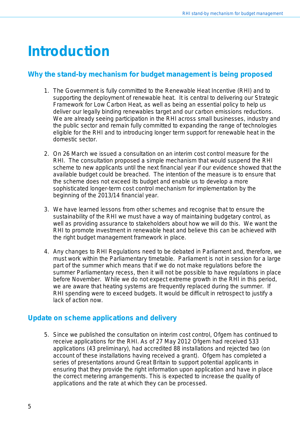# <span id="page-4-0"></span>**Introduction**

## <span id="page-4-1"></span>**Why the stand-by mechanism for budget management is being proposed**

- 1. The Government is fully committed to the Renewable Heat Incentive (RHI) and to supporting the deployment of renewable heat. It is central to delivering our Strategic Framework for Low Carbon Heat, as well as being an essential policy to help us deliver our legally binding renewables target and our carbon emissions reductions. We are already seeing participation in the RHI across small businesses, industry and the public sector and remain fully committed to expanding the range of technologies eligible for the RHI and to introducing longer term support for renewable heat in the domestic sector.
- 2. On 26 March we issued a consultation on an interim cost control measure for the RHI. The consultation proposed a simple mechanism that would suspend the RHI scheme to new applicants until the next financial year if our evidence showed that the available budget could be breached. The intention of the measure is to ensure that the scheme does not exceed its budget and enable us to develop a more sophisticated longer-term cost control mechanism for implementation by the beginning of the 2013/14 financial year.
- 3. We have learned lessons from other schemes and recognise that to ensure the sustainability of the RHI we must have a way of maintaining budgetary control, as well as providing assurance to stakeholders about how we will do this. We want the RHI to promote investment in renewable heat and believe this can be achieved with the right budget management framework in place.
- 4. Any changes to RHI Regulations need to be debated in Parliament and, therefore, we must work within the Parliamentary timetable. Parliament is not in session for a large part of the summer which means that if we do not make regulations before the summer Parliamentary recess, then it will not be possible to have regulations in place before November. While we do not expect extreme growth in the RHI in this period, we are aware that heating systems are frequently replaced during the summer. If RHI spending were to exceed budgets. It would be difficult in retrospect to justify a lack of action now.

## <span id="page-4-2"></span>**Update on scheme applications and delivery**

5. Since we published the consultation on interim cost control, Ofgem has continued to receive applications for the RHI. As of 27 May 2012 Ofgem had received 533 applications (43 preliminary), had accredited 88 installations and rejected two (on account of these installations having received a grant). Ofgem has completed a series of presentations around Great Britain to support potential applicants in ensuring that they provide the right information upon application and have in place the correct metering arrangements. This is expected to increase the quality of applications and the rate at which they can be processed.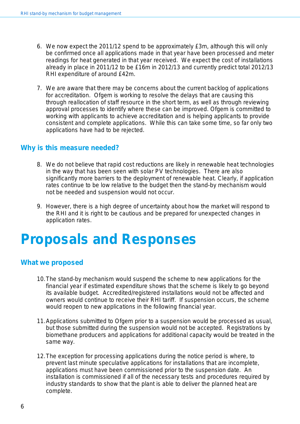- 6. We now expect the 2011/12 spend to be approximately £3m, although this will only be confirmed once all applications made in that year have been processed and meter readings for heat generated in that year received. We expect the cost of installations already in place in 2011/12 to be £16m in 2012/13 and currently predict total 2012/13 RHI expenditure of around £42m.
- 7. We are aware that there may be concerns about the current backlog of applications for accreditation. Ofgem is working to resolve the delays that are causing this through reallocation of staff resource in the short term, as well as through reviewing approval processes to identify where these can be improved. Ofgem is committed to working with applicants to achieve accreditation and is helping applicants to provide consistent and complete applications. While this can take some time, so far only two applications have had to be rejected.

#### <span id="page-5-0"></span>**Why is this measure needed?**

- 8. We do not believe that rapid cost reductions are likely in renewable heat technologies in the way that has been seen with solar PV technologies. There are also significantly more barriers to the deployment of renewable heat. Clearly, if application rates continue to be low relative to the budget then the stand-by mechanism would not be needed and suspension would not occur.
- 9. However, there is a high degree of uncertainty about how the market will respond to the RHI and it is right to be cautious and be prepared for unexpected changes in application rates.

# <span id="page-5-1"></span>**Proposals and Responses**

#### <span id="page-5-2"></span>**What we proposed**

- 10.The stand-by mechanism would suspend the scheme to new applications for the financial year if estimated expenditure shows that the scheme is likely to go beyond its available budget. Accredited/registered installations would not be affected and owners would continue to receive their RHI tariff. If suspension occurs, the scheme would reopen to new applications in the following financial year.
- 11.Applications submitted to Ofgem prior to a suspension would be processed as usual, but those submitted during the suspension would not be accepted. Registrations by biomethane producers and applications for additional capacity would be treated in the same way.
- 12.The exception for processing applications during the notice period is where, to prevent last minute speculative applications for installations that are incomplete, applications must have been commissioned prior to the suspension date. An installation is commissioned if all of the necessary tests and procedures required by industry standards to show that the plant is able to deliver the planned heat are complete.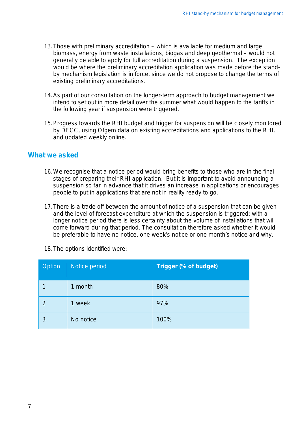- 13.Those with preliminary accreditation which is available for medium and large biomass, energy from waste installations, biogas and deep geothermal – would not generally be able to apply for full accreditation during a suspension. The exception would be where the preliminary accreditation application was made before the standby mechanism legislation is in force, since we do not propose to change the terms of existing preliminary accreditations.
- 14.As part of our consultation on the longer-term approach to budget management we intend to set out in more detail over the summer what would happen to the tariffs in the following year if suspension were triggered.
- 15.Progress towards the RHI budget and trigger for suspension will be closely monitored by DECC, using Ofgem data on existing accreditations and applications to the RHI, and updated weekly online.

#### <span id="page-6-0"></span>**What we asked**

- 16.We recognise that a notice period would bring benefits to those who are in the final stages of preparing their RHI application. But it is important to avoid announcing a suspension so far in advance that it drives an increase in applications or encourages people to put in applications that are not in reality ready to go.
- 17.There is a trade off between the amount of notice of a suspension that can be given and the level of forecast expenditure at which the suspension is triggered; with a longer notice period there is less certainty about the volume of installations that will come forward during that period. The consultation therefore asked whether it would be preferable to have no notice, one week's notice or one month's notice and why.

| Option        | Notice period | <b>Trigger (% of budget)</b> |
|---------------|---------------|------------------------------|
|               | 1 month       | 80%                          |
| $\mathcal{P}$ | 1 week        | 97%                          |
| 3             | No notice     | 100%                         |

18.The options identified were: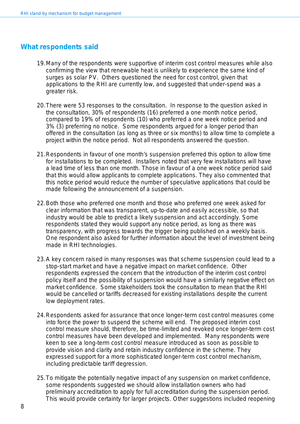#### <span id="page-7-0"></span>**What respondents said**

- 19.Many of the respondents were supportive of interim cost control measures while also confirming the view that renewable heat is unlikely to experience the same kind of surges as solar PV. Others questioned the need for cost control, given that applications to the RHI are currently low, and suggested that under-spend was a greater risk.
- 20.There were 53 responses to the consultation. In response to the question asked in the consultation, 30% of respondents (16) preferred a one month notice period, compared to 19% of respondents (10) who preferred a one week notice period and 3% (3) preferring no notice. Some respondents argued for a longer period than offered in the consultation (as long as three or six months) to allow time to complete a project within the notice period. Not all respondents answered the question.
- 21.Respondents in favour of one month's suspension preferred this option to allow time for installations to be completed. Installers noted that very few installations will have a lead time of less than one month. Those in favour of a one week notice period said that this would allow applicants to complete applications. They also commented that this notice period would reduce the number of speculative applications that could be made following the announcement of a suspension.
- 22.Both those who preferred one month and those who preferred one week asked for clear information that was transparent, up-to-date and easily accessible, so that industry would be able to predict a likely suspension and act accordingly. Some respondents stated they would support any notice period, as long as there was transparency, with progress towards the trigger being published on a weekly basis. One respondent also asked for further information about the level of investment being made in RHI technologies.
- 23.A key concern raised in many responses was that scheme suspension could lead to a stop-start market and have a negative impact on market confidence. Other respondents expressed the concern that the introduction of the interim cost control policy itself and the possibility of suspension would have a similarly negative effect on market confidence. Some stakeholders took the consultation to mean that the RHI would be cancelled or tariffs decreased for existing installations despite the current low deployment rates.
- 24.Respondents asked for assurance that once longer-term cost control measures come into force the power to suspend the scheme will end. The proposed interim cost control measure should, therefore, be time-limited and revoked once longer-term cost control measures have been developed and implemented. Many respondents were keen to see a long-term cost control measure introduced as soon as possible to provide vision and clarity and retain industry confidence in the scheme. They expressed support for a more sophisticated longer-term cost control mechanism, including predictable tariff degression.
- 25.To mitigate the potentially negative impact of any suspension on market confidence, some respondents suggested we should allow installation owners who had preliminary accreditation to apply for full accreditation during the suspension period. This would provide certainty for larger projects. Other suggestions included reopening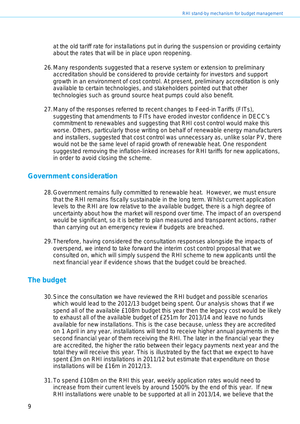at the old tariff rate for installations put in during the suspension or providing certainty about the rates that will be in place upon reopening.

- 26.Many respondents suggested that a reserve system or extension to preliminary accreditation should be considered to provide certainty for investors and support growth in an environment of cost control. At present, preliminary accreditation is only available to certain technologies, and stakeholders pointed out that other technologies such as ground source heat pumps could also benefit.
- 27.Many of the responses referred to recent changes to Feed-in Tariffs (FITs), suggesting that amendments to FITs have eroded investor confidence in DECC's commitment to renewables and suggesting that RHI cost control would make this worse. Others, particularly those writing on behalf of renewable energy manufacturers and installers, suggested that cost control was unnecessary as, unlike solar PV, there would not be the same level of rapid growth of renewable heat. One respondent suggested removing the inflation-linked increases for RHI tariffs for new applications, in order to avoid closing the scheme.

#### <span id="page-8-0"></span>**Government consideration**

- 28.Government remains fully committed to renewable heat. However, we must ensure that the RHI remains fiscally sustainable in the long term. Whilst current application levels to the RHI are low relative to the available budget, there is a high degree of uncertainty about how the market will respond over time. The impact of an overspend would be significant, so it is better to plan measured and transparent actions, rather than carrying out an emergency review if budgets are breached.
- 29.Therefore, having considered the consultation responses alongside the impacts of overspend, we intend to take forward the interim cost control proposal that we consulted on, which will simply suspend the RHI scheme to new applicants until the next financial year if evidence shows that the budget could be breached.

#### <span id="page-8-1"></span>**The budget**

- 30.Since the consultation we have reviewed the RHI budget and possible scenarios which would lead to the 2012/13 budget being spent. Our analysis shows that if we spend all of the available £108m budget this year then the legacy cost would be likely to exhaust all of the available budget of £251m for 2013/14 and leave no funds available for new installations. This is the case because, unless they are accredited on 1 April in any year, installations will tend to receive higher annual payments in the second financial year of them receiving the RHI. The later in the financial year they are accredited, the higher the ratio between their legacy payments next year and the total they will receive this year. This is illustrated by the fact that we expect to have spent £3m on RHI installations in 2011/12 but estimate that expenditure on those installations will be £16m in 2012/13.
- 31.To spend £108m on the RHI this year, weekly application rates would need to increase from their current levels by around 1500% by the end of this year. If new RHI installations were unable to be supported at all in 2013/14, we believe that the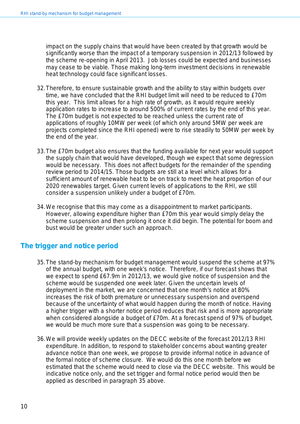impact on the supply chains that would have been created by that growth would be significantly worse than the impact of a temporary suspension in 2012/13 followed by the scheme re-opening in April 2013. Job losses could be expected and businesses may cease to be viable. Those making long-term investment decisions in renewable heat technology could face significant losses.

- 32.Therefore, to ensure sustainable growth and the ability to stay within budgets over time, we have concluded that the RHI budget limit will need to be reduced to £70m this year. This limit allows for a high rate of growth, as it would require weekly application rates to increase to around 500% of current rates by the end of this year. The £70m budget is not expected to be reached unless the current rate of applications of roughly 10MW per week (of which only around 5MW per week are projects completed since the RHI opened) were to rise steadily to 50MW per week by the end of the year.
- 33.The £70m budget also ensures that the funding available for next year would support the supply chain that would have developed, though we expect that some degression would be necessary. This does not affect budgets for the remainder of the spending review period to 2014/15. Those budgets are still at a level which allows for a sufficient amount of renewable heat to be on track to meet the heat proportion of our 2020 renewables target. Given current levels of applications to the RHI, we still consider a suspension unlikely under a budget of £70m.
- 34.We recognise that this may come as a disappointment to market participants. However, allowing expenditure higher than £70m this year would simply delay the scheme suspension and then prolong it once it did begin. The potential for boom and bust would be greater under such an approach.

## <span id="page-9-1"></span><span id="page-9-0"></span>**The trigger and notice period**

- 35.The stand-by mechanism for budget management would suspend the scheme at 97% of the annual budget, with one week's notice. Therefore, if our forecast shows that we expect to spend £67.9m in 2012/13, we would give notice of suspension and the scheme would be suspended one week later. Given the uncertain levels of deployment in the market, we are concerned that one month's notice at 80% increases the risk of both premature or unnecessary suspension and overspend because of the uncertainty of what would happen during the month of notice. Having a higher trigger with a shorter notice period reduces that risk and is more appropriate when considered alongside a budget of £70m. At a forecast spend of 97% of budget, we would be much more sure that a suspension was going to be necessary.
- 36.We will provide weekly updates on the DECC website of the forecast 2012/13 RHI expenditure. In addition, to respond to stakeholder concerns about wanting greater advance notice than one week, we propose to provide informal notice in advance of the formal notice of scheme closure. We would do this one month before we estimated that the scheme would need to close via the DECC website. This would be indicative notice only, and the set trigger and formal notice period would then be applied as described in paragraph [35](#page-9-1) above.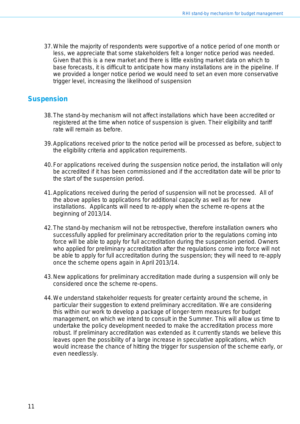37.While the majority of respondents were supportive of a notice period of one month or less, we appreciate that some stakeholders felt a longer notice period was needed. Given that this is a new market and there is little existing market data on which to base forecasts, it is difficult to anticipate how many installations are in the pipeline. If we provided a longer notice period we would need to set an even more conservative trigger level, increasing the likelihood of suspension

#### <span id="page-10-0"></span>**Suspension**

- 38.The stand-by mechanism will not affect installations which have been accredited or registered at the time when notice of suspension is given. Their eligibility and tariff rate will remain as before.
- 39.Applications received prior to the notice period will be processed as before, subject to the eligibility criteria and application requirements.
- 40.For applications received during the suspension notice period, the installation will only be accredited if it has been commissioned and if the accreditation date will be prior to the start of the suspension period.
- 41.Applications received during the period of suspension will not be processed. All of the above applies to applications for additional capacity as well as for new installations. Applicants will need to re-apply when the scheme re-opens at the beginning of 2013/14.
- 42.The stand-by mechanism will not be retrospective, therefore installation owners who successfully applied for preliminary accreditation prior to the regulations coming into force will be able to apply for full accreditation during the suspension period. Owners who applied for preliminary accreditation after the regulations come into force will not be able to apply for full accreditation during the suspension; they will need to re-apply once the scheme opens again in April 2013/14.
- 43.New applications for preliminary accreditation made during a suspension will only be considered once the scheme re-opens.
- 44.We understand stakeholder requests for greater certainty around the scheme, in particular their suggestion to extend preliminary accreditation. We are considering this within our work to develop a package of longer-term measures for budget management, on which we intend to consult in the Summer. This will allow us time to undertake the policy development needed to make the accreditation process more robust. If preliminary accreditation was extended as it currently stands we believe this leaves open the possibility of a large increase in speculative applications, which would increase the chance of hitting the trigger for suspension of the scheme early, or even needlessly.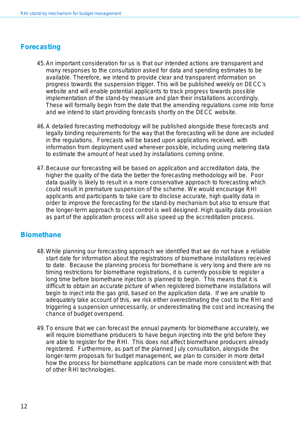#### <span id="page-11-0"></span>**Forecasting**

- 45.An important consideration for us is that our intended actions are transparent and many responses to the consultation asked for data and spending estimates to be available. Therefore, we intend to provide clear and transparent information on progress towards the suspension trigger. This will be published weekly on DECC's website and will enable potential applicants to track progress towards possible implementation of the stand-by measure and plan their installations accordingly. These will formally begin from the date that the amending regulations come into force and we intend to start providing forecasts shortly on the DECC website.
- 46.A detailed forecasting methodology will be published alongside these forecasts and legally binding requirements for the way that the forecasting will be done are included in the regulations. Forecasts will be based upon applications received, with information from deployment used wherever possible, including using metering data to estimate the amount of heat used by installations coming online.
- <span id="page-11-1"></span>47.Because our forecasting will be based on application and accreditation data, the higher the quality of the data the better the forecasting methodology will be. Poor data quality is likely to result in a more conservative approach to forecasting which could result in premature suspension of the scheme. We would encourage RHI applicants and participants to take care to disclose accurate, high quality data in order to improve the forecasting for the stand-by mechanism but also to ensure that the longer-term approach to cost control is well designed. High quality data provision as part of the application process will also speed up the accreditation process.

#### **Biomethane**

- 48.While planning our forecasting approach we identified that we do not have a reliable start date for information about the registrations of biomethane installations received to date. Because the planning process for biomethane is very long and there are no timing restrictions for biomethane registrations, it is currently possible to register a long time before biomethane injection is planned to begin. This means that it is difficult to obtain an accurate picture of when registered biomethane installations will begin to inject into the gas grid, based on the application data. If we are unable to adequately take account of this, we risk either overestimating the cost to the RHI and triggering a suspension unnecessarily, or underestimating the cost and increasing the chance of budget overspend.
- <span id="page-11-2"></span>49.To ensure that we can forecast the annual payments for biomethane accurately, we will require biomethane producers to have begun injecting into the grid before they are able to register for the RHI. This does not affect biomethane producers already registered. Furthermore, as part of the planned July consultation, alongside the longer-term proposals for budget management, we plan to consider in more detail how the process for biomethane applications can be made more consistent with that of other RHI technologies.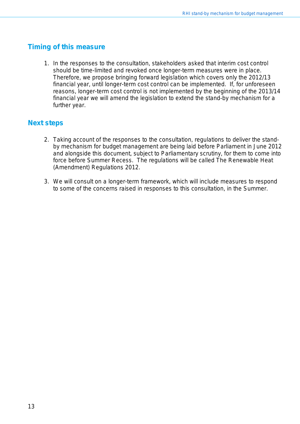### <span id="page-12-0"></span>**Timing of this measure**

1. In the responses to the consultation, stakeholders asked that interim cost control should be time-limited and revoked once longer-term measures were in place. Therefore, we propose bringing forward legislation which covers only the 2012/13 financial year, until longer-term cost control can be implemented. If, for unforeseen reasons, longer-term cost control is not implemented by the beginning of the 2013/14 financial year we will amend the legislation to extend the stand-by mechanism for a further year.

### **Next steps**

- 2. Taking account of the responses to the consultation, regulations to deliver the standby mechanism for budget management are being laid before Parliament in June 2012 and alongside this document, subject to Parliamentary scrutiny, for them to come into force before Summer Recess. The regulations will be called The Renewable Heat (Amendment) Regulations 2012.
- 3. We will consult on a longer-term framework, which will include measures to respond to some of the concerns raised in responses to this consultation, in the Summer.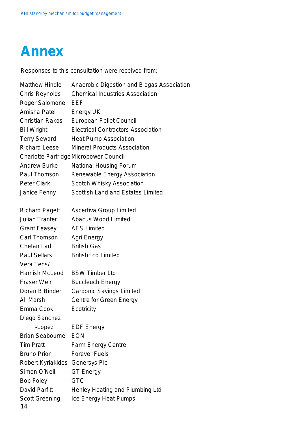# <span id="page-13-0"></span>**Annex**

Responses to this consultation were received from:

| <b>Matthew Hindle</b>                         | Anaerobic Digestion and Biogas Association |  |  |  |
|-----------------------------------------------|--------------------------------------------|--|--|--|
| <b>Chris Reynolds</b>                         | <b>Chemical Industries Association</b>     |  |  |  |
| Roger Salomone                                | EEF                                        |  |  |  |
| Amisha Patel                                  | Energy UK                                  |  |  |  |
| <b>Christian Rakos</b>                        | <b>European Pellet Council</b>             |  |  |  |
| <b>Bill Wright</b>                            | <b>Electrical Contractors Association</b>  |  |  |  |
| <b>Terry Seward</b>                           | <b>Heat Pump Association</b>               |  |  |  |
| <b>Richard Leese</b>                          | <b>Mineral Products Association</b>        |  |  |  |
| <b>Charlotte Partridge Micropower Council</b> |                                            |  |  |  |
| <b>Andrew Burke</b>                           | <b>National Housing Forum</b>              |  |  |  |
| Paul Thomson                                  | Renewable Energy Association               |  |  |  |
| <b>Peter Clark</b>                            | <b>Scotch Whisky Association</b>           |  |  |  |
| Janice Fenny                                  | <b>Scottish Land and Estates Limited</b>   |  |  |  |
|                                               |                                            |  |  |  |
| <b>Richard Pagett</b>                         | <b>Ascertiva Group Limited</b>             |  |  |  |
| <b>Julian Tranter</b>                         | <b>Abacus Wood Limited</b>                 |  |  |  |
| <b>Grant Feasey</b>                           | <b>AES Limited</b>                         |  |  |  |
| Carl Thomson                                  | Agri Energy                                |  |  |  |
| Chetan Lad                                    | <b>British Gas</b>                         |  |  |  |
| <b>Paul Sellars</b>                           | <b>BritishEco Limited</b>                  |  |  |  |
| Vera Tens/                                    |                                            |  |  |  |
| Hamish McLeod                                 | <b>BSW Timber Ltd</b>                      |  |  |  |
| <b>Fraser Weir</b>                            | <b>Buccleuch Energy</b>                    |  |  |  |
| Doran B Binder                                | <b>Carbonic Savings Limited</b>            |  |  |  |
| Ali Marsh                                     | <b>Centre for Green Energy</b>             |  |  |  |
| Emma Cook                                     | Ecotricity                                 |  |  |  |
| Diego Sanchez                                 |                                            |  |  |  |
| -Lopez                                        | <b>EDF Energy</b>                          |  |  |  |
| <b>Brian Seabourne</b>                        | <b>EON</b>                                 |  |  |  |
| <b>Tim Pratt</b>                              | <b>Farm Energy Centre</b>                  |  |  |  |
| <b>Bruno Prior</b>                            | <b>Forever Fuels</b>                       |  |  |  |
| Robert Kyriakides                             | <b>Genersys Plc</b>                        |  |  |  |
| Simon O'Neill                                 | <b>GT Energy</b>                           |  |  |  |
| <b>Bob Foley</b>                              | <b>GTC</b>                                 |  |  |  |
| David Parfitt                                 | Henley Heating and Plumbing Ltd            |  |  |  |
| <b>Scott Greening</b>                         | Ice Energy Heat Pumps                      |  |  |  |
| 14                                            |                                            |  |  |  |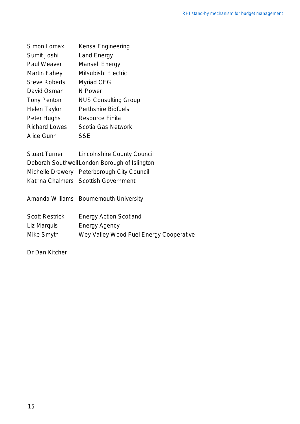| Simon Lomax          | Kensa Engineering           |
|----------------------|-----------------------------|
| Sumit Joshi          | Land Energy                 |
| Paul Weaver          | <b>Mansell Energy</b>       |
| Martin Fahey         | Mitsubishi Electric         |
| <b>Steve Roberts</b> | <b>Myriad CEG</b>           |
| David Osman          | N Power                     |
| Tony Penton          | <b>NUS Consulting Group</b> |
| Helen Taylor         | Perthshire Biofuels         |
| Peter Hughs          | <b>Resource Finita</b>      |
| <b>Richard Lowes</b> | <b>Scotia Gas Network</b>   |
| Alice Gunn           | <b>SSE</b>                  |
|                      |                             |

Stuart Turner Lincolnshire County Council Deborah SouthwellLondon Borough of Islington Michelle Drewery Peterborough City Council Katrina Chalmers Scottish Government

Amanda Williams Bournemouth University Scott Restrick Energy Action Scotland

Liz Marquis Energy Agency

Mike Smyth Wey Valley Wood Fuel Energy Cooperative

Dr Dan Kitcher